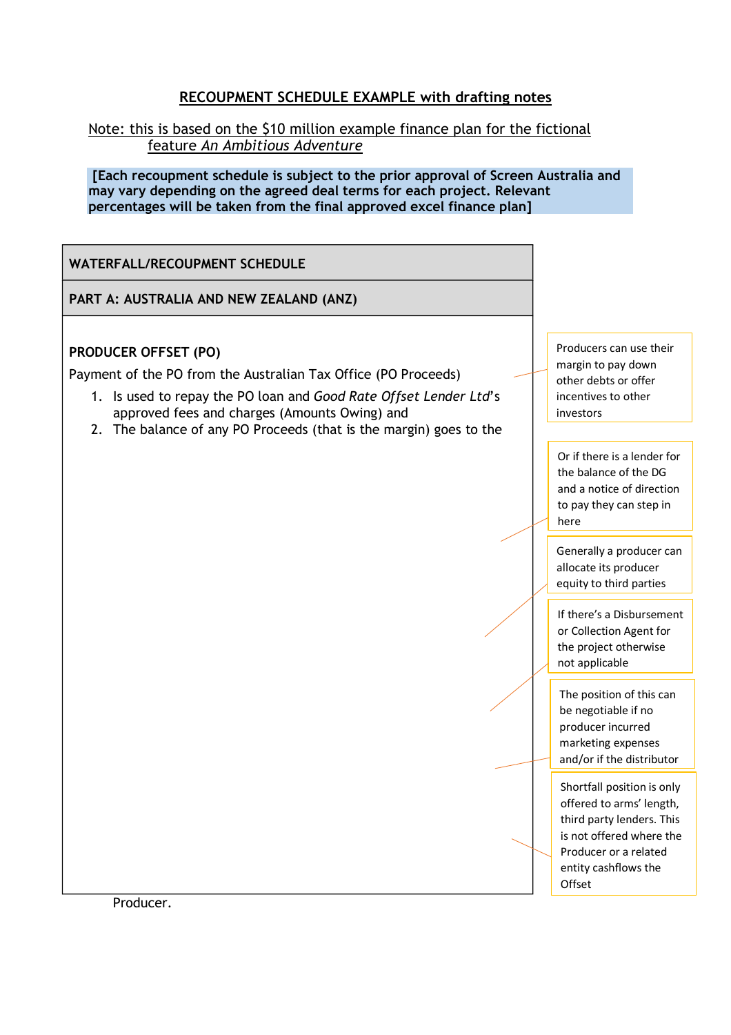## **RECOUPMENT SCHEDULE EXAMPLE with drafting notes**

Note: this is based on the \$10 million example finance plan for the fictional feature *An Ambitious Adventure*

**[Each recoupment schedule is subject to the prior approval of Screen Australia and may vary depending on the agreed deal terms for each project. Relevant percentages will be taken from the final approved excel finance plan]** 

**WATERFALL/RECOUPMENT SCHEDULE** 

**PART A: AUSTRALIA AND NEW ZEALAND (ANZ)** 

## **PRODUCER OFFSET (PO)**

Payment of the PO from the Australian Tax Office (PO Proceeds)

- 1. Is used to repay the PO loan and *Good Rate Offset Lender Ltd*'s approved fees and charges (Amounts Owing) and
- 2. The balance of any PO Proceeds (that is the margin) goes to the

Producers can use their margin to pay down other debts or offer incentives to other investors

Or if there is a lender for the balance of the DG and a notice of direction to pay they can step in here

Generally a producer can allocate its producer equity to third parties

If there's a Disbursement or Collection Agent for the project otherwise not applicable

The position of this can be negotiable if no producer incurred marketing expenses and/or if the distributor

Shortfall position is only offered to arms' length, third party lenders. This is not offered where the Producer or a related entity cashflows the Offset

Producer.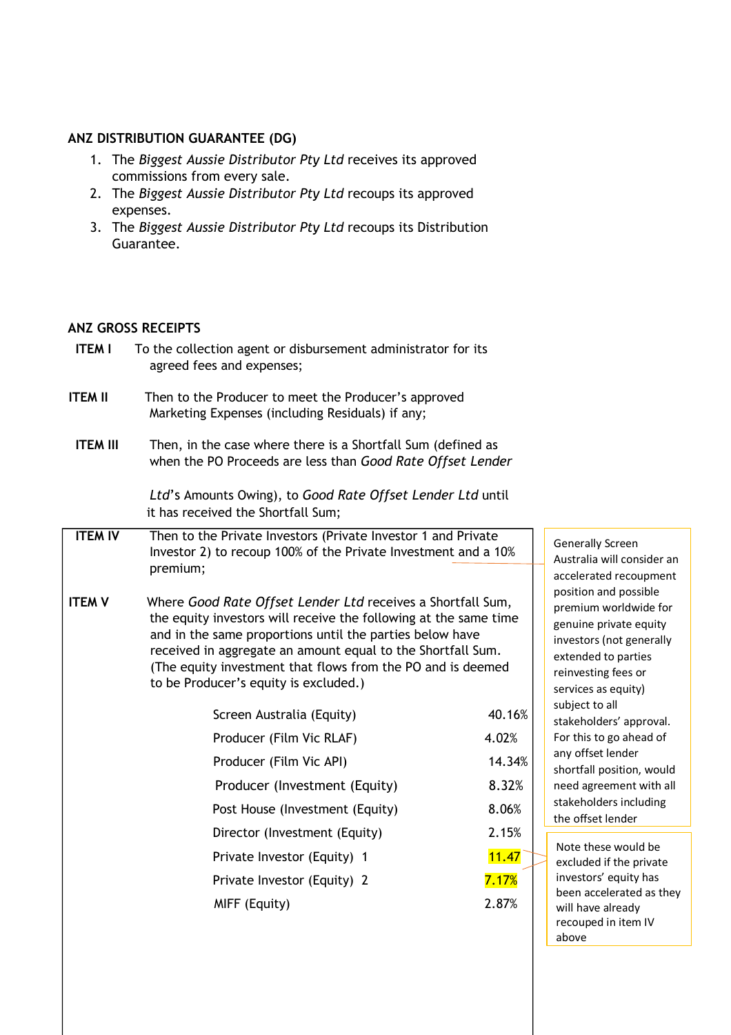## **ANZ DISTRIBUTION GUARANTEE (DG)**

- 1. The *Biggest Aussie Distributor Pty Ltd* receives its approved commissions from every sale.
- 2. The *Biggest Aussie Distributor Pty Ltd* recoups its approved expenses.
- 3. The *Biggest Aussie Distributor Pty Ltd* recoups its Distribution Guarantee.

## **ANZ GROSS RECEIPTS**

| <b>ITEM I</b> | To the collection agent or disbursement administrator for its |
|---------------|---------------------------------------------------------------|
|               | agreed fees and expenses;                                     |
|               |                                                               |

- **ITEM II** Then to the Producer to meet the Producer's approved Marketing Expenses (including Residuals) if any;
- **ITEM III** Then, in the case where there is a Shortfall Sum (defined as when the PO Proceeds are less than *Good Rate Offset Lender*

*Ltd*'s Amounts Owing), to *Good Rate Offset Lender Ltd* until it has received the Shortfall Sum;

- **ITEM IV** Then to the Private Investors (Private Investor 1 and Private Investor 2) to recoup 100% of the Private Investment and a 10% premium;
- **ITEM V** Where *Good Rate Offset Lender Ltd* receives a Shortfall Sum, the equity investors will receive the following at the same time and in the same proportions until the parties below have received in aggregate an amount equal to the Shortfall Sum. (The equity investment that flows from the PO and is deemed to be Producer's equity is excluded.)

| Screen Australia (Equity)       | 40.16% |
|---------------------------------|--------|
| Producer (Film Vic RLAF)        | 4.02%  |
| Producer (Film Vic API)         | 14.34% |
| Producer (Investment (Equity)   | 8.32%  |
| Post House (Investment (Equity) | 8.06%  |
| Director (Investment (Equity)   | 2.15%  |
| Private Investor (Equity) 1     | 11.47  |
| Private Investor (Equity) 2     | 7.17%  |
| MIFF (Equity)                   | 2.87%  |
|                                 |        |

Generally Screen Australia will consider an accelerated recoupment position and possible premium worldwide for genuine private equity investors (not generally extended to parties reinvesting fees or services as equity) subject to all stakeholders' approval. For this to go ahead of any offset lender shortfall position, would need agreement with all stakeholders including the offset lender

Note these would be excluded if the private investors' equity has been accelerated as they will have already recouped in item IV above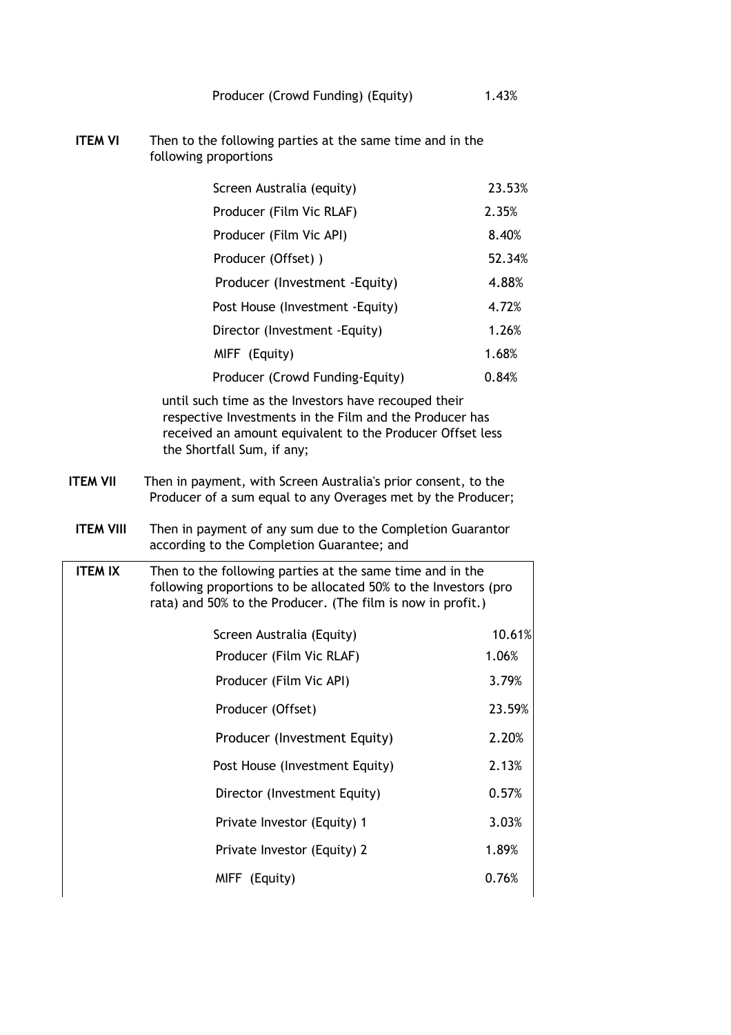**ITEM VI** Then to the following parties at the same time and in the following proportions

| Screen Australia (equity)        | 23.53% |
|----------------------------------|--------|
| Producer (Film Vic RLAF)         | 2.35%  |
| Producer (Film Vic API)          | 8.40%  |
| Producer (Offset))               | 52.34% |
| Producer (Investment - Equity)   | 4.88%  |
| Post House (Investment - Equity) | 4.72%  |
| Director (Investment - Equity)   | 1.26%  |
| MIFF (Equity)                    | 1.68%  |
| Producer (Crowd Funding-Equity)  | 0.84%  |

until such time as the Investors have recouped their respective Investments in the Film and the Producer has received an amount equivalent to the Producer Offset less the Shortfall Sum, if any;

- **ITEM VII** Then in payment, with Screen Australia's prior consent, to the Producer of a sum equal to any Overages met by the Producer;
- **ITEM VIII** Then in payment of any sum due to the Completion Guarantor according to the Completion Guarantee; and
- **ITEM IX** Then to the following parties at the same time and in the following proportions to be allocated 50% to the Investors (pro rata) and 50% to the Producer. (The film is now in profit.)

| Screen Australia (Equity)      | 10.61% |
|--------------------------------|--------|
| Producer (Film Vic RLAF)       | 1.06%  |
| Producer (Film Vic API)        | 3.79%  |
| Producer (Offset)              | 23.59% |
| Producer (Investment Equity)   | 2.20%  |
| Post House (Investment Equity) | 2.13%  |
| Director (Investment Equity)   | 0.57%  |
| Private Investor (Equity) 1    | 3.03%  |
| Private Investor (Equity) 2    | 1.89%  |
| MIFF (Equity)                  | 0.76%  |
|                                |        |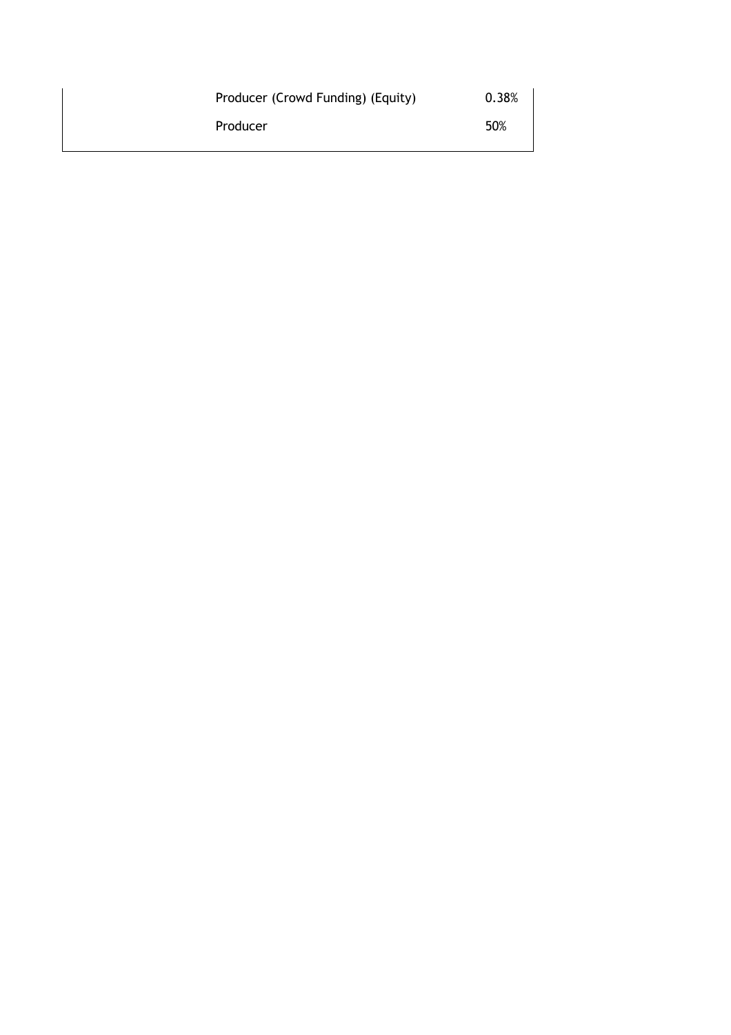| Producer (Crowd Funding) (Equity) | 0.38% |
|-----------------------------------|-------|
| Producer                          | 50%   |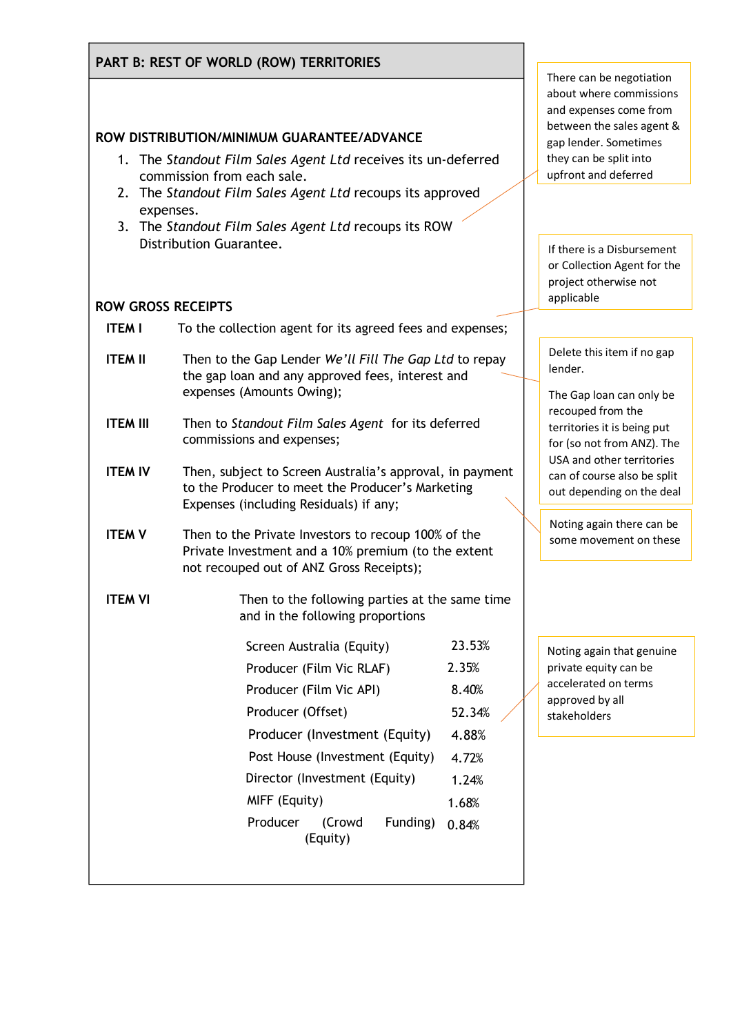|                           | PART B: REST OF WORLD (ROW) TERRITORIES                                                                                                                |                      |
|---------------------------|--------------------------------------------------------------------------------------------------------------------------------------------------------|----------------------|
|                           |                                                                                                                                                        | Th<br>ab             |
|                           | ROW DISTRIBUTION/MINIMUM GUARANTEE/ADVANCE                                                                                                             | an<br>be             |
|                           | 1. The Standout Film Sales Agent Ltd receives its un-deferred                                                                                          | ga<br>th             |
|                           | commission from each sale.<br>2. The Standout Film Sales Agent Ltd recoups its approved                                                                | up                   |
| expenses.                 | 3. The Standout Film Sales Agent Ltd recoups its ROW                                                                                                   |                      |
|                           | Distribution Guarantee.                                                                                                                                | If                   |
|                           |                                                                                                                                                        | or<br>pr             |
| <b>ROW GROSS RECEIPTS</b> |                                                                                                                                                        | ap                   |
| <b>ITEM I</b>             | To the collection agent for its agreed fees and expenses;                                                                                              |                      |
| <b>ITEM II</b>            | Then to the Gap Lender We'll Fill The Gap Ltd to repay                                                                                                 | D <sub>0</sub><br>le |
|                           | the gap loan and any approved fees, interest and<br>expenses (Amounts Owing);                                                                          | Tł                   |
| <b>ITEM III</b>           | Then to Standout Film Sales Agent for its deferred                                                                                                     | re                   |
|                           | commissions and expenses;                                                                                                                              | te<br>fo             |
| <b>ITEM IV</b>            | Then, subject to Screen Australia's approval, in payment                                                                                               | U.<br>ca             |
|                           | to the Producer to meet the Producer's Marketing<br>Expenses (including Residuals) if any;                                                             | оι                   |
| <b>ITEM V</b>             | Then to the Private Investors to recoup 100% of the<br>Private Investment and a 10% premium (to the extent<br>not recouped out of ANZ Gross Receipts); | N<br>SC              |
| <b>ITEM VI</b>            | Then to the following parties at the same time<br>and in the following proportions                                                                     |                      |
|                           | 23.53%<br>Screen Australia (Equity)                                                                                                                    | N                    |
|                           | Producer (Film Vic RLAF)<br>2.35%                                                                                                                      | pr<br>ас             |
|                           | Producer (Film Vic API)<br>8.40%                                                                                                                       | ap                   |
|                           | Producer (Offset)<br>52.34%                                                                                                                            | sta                  |
|                           | Producer (Investment (Equity)<br>4.88%                                                                                                                 |                      |
|                           | Post House (Investment (Equity)<br>4.72%                                                                                                               |                      |
|                           | Director (Investment (Equity)<br>1.24%                                                                                                                 |                      |
|                           | MIFF (Equity)<br>1.68%                                                                                                                                 |                      |
|                           | Producer<br>(Crowd<br>Funding)<br>0.84%<br>(Equity)                                                                                                    |                      |
|                           |                                                                                                                                                        |                      |

ere can be negotiation out where commissions d expenses come from etween the sales agent & p lender. Sometimes ey can be split into front and deferred

there is a Disbursement Collection Agent for the oject otherwise not applicable

elete this item if no gap nder.

he Gap loan can only be ecouped from the erritories it is being put or (so not from ANZ). The SA and other territories In of course also be split ut depending on the deal

oting again there can be ome movement on these

oting again that genuine ivate equity can be ccelerated on terms approved by all akeholders